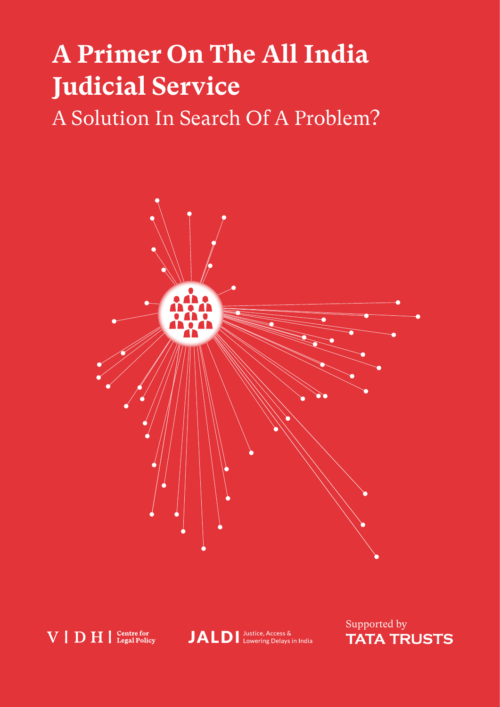# **A Primer On The All India Judicial Service**

A Solution In Search Of A Problem?



 $V \mid D H \mid$  Centre for

JALDI Lowering Delays in India

Supported by**TATA TRUSTS**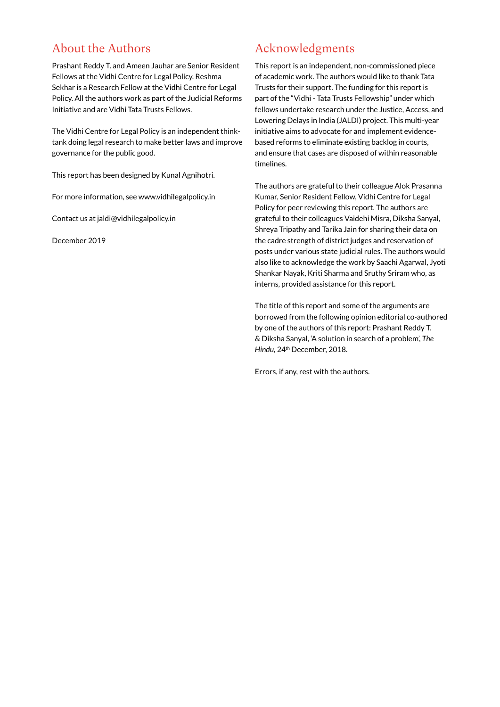## About the Authors

Prashant Reddy T. and Ameen Jauhar are Senior Resident Fellows at the Vidhi Centre for Legal Policy. Reshma Sekhar is a Research Fellow at the Vidhi Centre for Legal Policy. All the authors work as part of the Judicial Reforms Initiative and are Vidhi Tata Trusts Fellows.

The Vidhi Centre for Legal Policy is an independent thinktank doing legal research to make better laws and improve governance for the public good.

This report has been designed by Kunal Agnihotri.

For more information, see www.vidhilegalpolicy.in

Contact us at jaldi@vidhilegalpolicy.in

December 2019

## Acknowledgments

This report is an independent, non-commissioned piece of academic work. The authors would like to thank Tata Trusts for their support. The funding for this report is part of the "Vidhi - Tata Trusts Fellowship" under which fellows undertake research under the Justice, Access, and Lowering Delays in India (JALDI) project. This multi-year initiative aims to advocate for and implement evidencebased reforms to eliminate existing backlog in courts, and ensure that cases are disposed of within reasonable timelines.

The authors are grateful to their colleague Alok Prasanna Kumar, Senior Resident Fellow, Vidhi Centre for Legal Policy for peer reviewing this report. The authors are grateful to their colleagues Vaidehi Misra, Diksha Sanyal, Shreya Tripathy and Tarika Jain for sharing their data on the cadre strength of district judges and reservation of posts under various state judicial rules. The authors would also like to acknowledge the work by Saachi Agarwal, Jyoti Shankar Nayak, Kriti Sharma and Sruthy Sriram who, as interns, provided assistance for this report.

The title of this report and some of the arguments are borrowed from the following opinion editorial co-authored by one of the authors of this report: Prashant Reddy T. & Diksha Sanyal, 'A solution in search of a problem', *The Hindu,* 24th December, 2018.

Errors, if any, rest with the authors.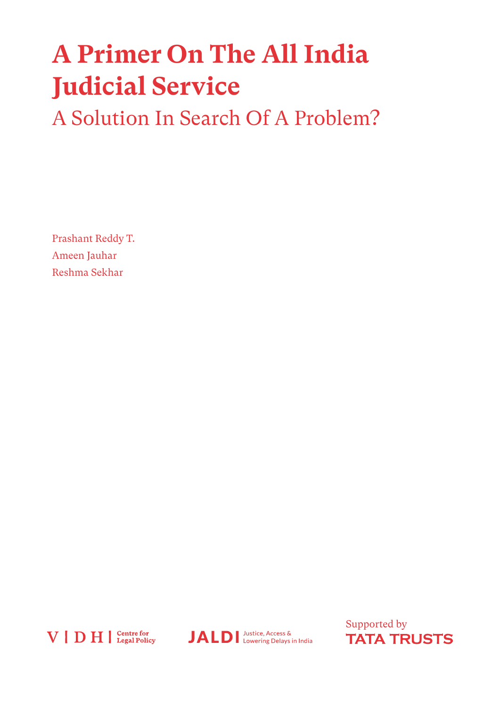# **A Primer On The All India Judicial Service**

A Solution In Search Of A Problem?

Prashant Reddy T. Ameen Jauhar Reshma Sekhar



**JALDI** Justice, Access &

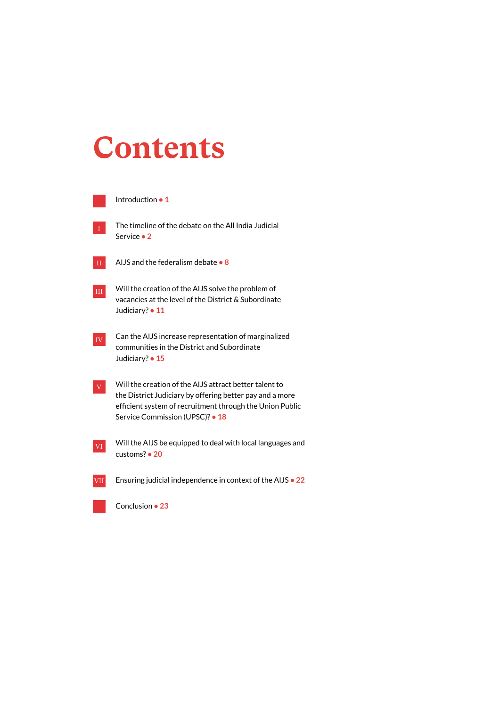# **Contents**

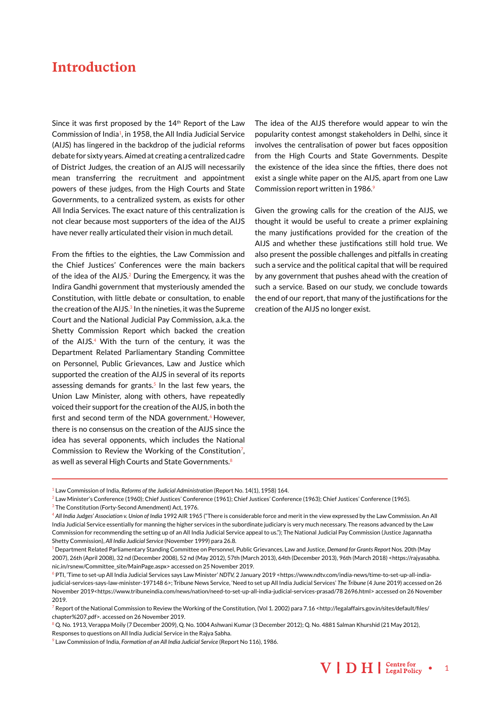## <span id="page-6-0"></span>**Introduction**

Since it was first proposed by the 14<sup>th</sup> Report of the Law Commission of India1, in 1958, the All India Judicial Service (AIJS) has lingered in the backdrop of the judicial reforms debate for sixty years. Aimed at creating a centralized cadre of District Judges, the creation of an AIJS will necessarily mean transferring the recruitment and appointment powers of these judges, from the High Courts and State Governments, to a centralized system, as exists for other All India Services. The exact nature of this centralization is not clear because most supporters of the idea of the AIJS have never really articulated their vision in much detail.

From the fifties to the eighties, the Law Commission and the Chief Justices' Conferences were the main backers of the idea of the AIJS.<sup>2</sup> During the Emergency, it was the Indira Gandhi government that mysteriously amended the Constitution, with little debate or consultation, to enable the creation of the AIJS.<sup>3</sup> In the nineties, it was the Supreme Court and the National Judicial Pay Commission, a.k.a. the Shetty Commission Report which backed the creation of the AIJS.4 With the turn of the century, it was the Department Related Parliamentary Standing Committee on Personnel, Public Grievances, Law and Justice which supported the creation of the AIJS in several of its reports assessing demands for grants. $5$  In the last few years, the Union Law Minister, along with others, have repeatedly voiced their support for the creation of the AIJS, in both the first and second term of the NDA government.<sup>6</sup> However, there is no consensus on the creation of the AIJS since the idea has several opponents, which includes the National Commission to Review the Working of the Constitution<sup>7</sup>, as well as several High Courts and State Governments.<sup>8</sup>

The idea of the AIJS therefore would appear to win the popularity contest amongst stakeholders in Delhi, since it involves the centralisation of power but faces opposition from the High Courts and State Governments. Despite the existence of the idea since the fifties, there does not exist a single white paper on the AIJS, apart from one Law Commission report written in 1986.9

Given the growing calls for the creation of the AIJS, we thought it would be useful to create a primer explaining the many justifications provided for the creation of the AIJS and whether these justifications still hold true. We also present the possible challenges and pitfalls in creating such a service and the political capital that will be required by any government that pushes ahead with the creation of such a service. Based on our study, we conclude towards the end of our report, that many of the justifications for the creation of the AIJS no longer exist.

- 1 Law Commission of India, *Reforms of the Judicial Administration* (Report No. 14(1), 1958) 164.
- $^2$  Law Minister's Conference (1960); Chief Justices' Conference (1961); Chief Justices' Conference (1963); Chief Justices' Conference (1965).

3 The Constitution (Forty-Second Amendment) Act, 1976.



<sup>4</sup> *All India Judges' Association v. Union of India* 1992 AIR 1965 ("There is considerable force and merit in the view expressed by the Law Commission. An All India Judicial Service essentially for manning the higher services in the subordinate judiciary is very much necessary. The reasons advanced by the Law Commission for recommending the setting up of an All India Judicial Service appeal to us."); The National Judicial Pay Commission (Justice Jagannatha Shetty Commission), *All India Judicial Service* (November 1999) para 26.8.

<sup>5</sup> Department Related Parliamentary Standing Committee on Personnel, Public Grievances, Law and Justice, *Demand for Grants Report* Nos. 20th (May 2007), 26th (April 2008), 32 nd (December 2008), 52 nd (May 2012), 57th (March 2013), 64th (December 2013), 96th (March 2018) <https://rajyasabha. nic.in/rsnew/Committee\_site/MainPage.aspx> accessed on 25 November 2019.

<sup>6</sup> PTI, 'Time to set-up All India Judicial Services says Law Minister' *NDTV,* 2 January 2019 <https://www.ndtv.com/india-news/time-to-set-up-all-indiajudicial-services-says-law-minister-197148 6>; Tribune News Service, 'Need to set up All India Judicial Services' *The Tribune* (4 June 2019) accessed on 26 November 2019<https://www.tribuneindia.com/news/nation/need-to-set-up-all-india-judicial-services-prasad/78 2696.html> accessed on 26 November 2019.

<sup>7</sup> Report of the National Commission to Review the Working of the Constitution, (Vol 1. 2002) para 7.16 <http://legalaffairs.gov.in/sites/default/files/ chapter%207.pdf>. accessed on 26 November 2019.

<sup>&</sup>lt;sup>8</sup> Q. No. 1913, Verappa Moily (7 December 2009), Q. No. 1004 Ashwani Kumar (3 December 2012); Q. No. 4881 Salman Khurshid (21 May 2012), Responses to questions on All India Judicial Service in the Rajya Sabha.

<sup>9</sup> Law Commission of India, *Formation of an All India Judicial Service* (Report No 116), 1986.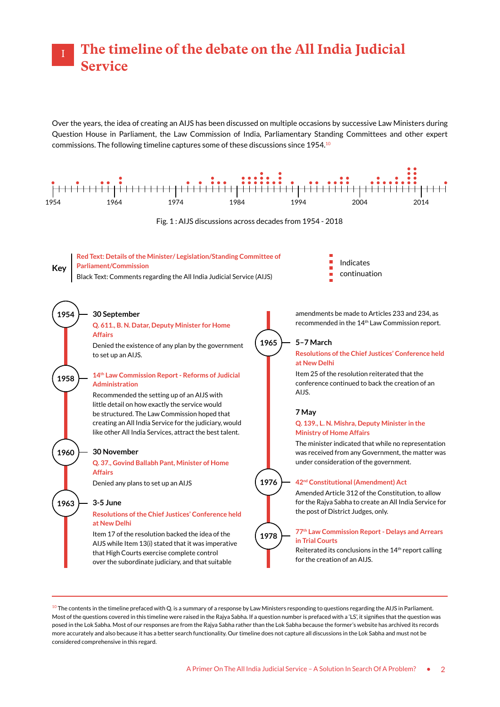### <span id="page-7-0"></span>**The timeline of the debate on the All India Judicial Service** I

Over the years, the idea of creating an AIJS has been discussed on multiple occasions by successive Law Ministers during Question House in Parliament, the Law Commission of India, Parliamentary Standing Committees and other expert commissions. The following timeline captures some of these discussions since 1954.10



 $10$  The contents in the timeline prefaced with Q. is a summary of a response by Law Ministers responding to questions regarding the AIJS in Parliament. Most of the questions covered in this timeline were raised in the Rajya Sabha. If a question number is prefaced with a 'LS', it signifies that the question was posed in the Lok Sabha. Most of our responses are from the Rajya Sabha rather than the Lok Sabha because the former's website has archived its records more accurately and also because it has a better search functionality. Our timeline does not capture all discussions in the Lok Sabha and must not be considered comprehensive in this regard.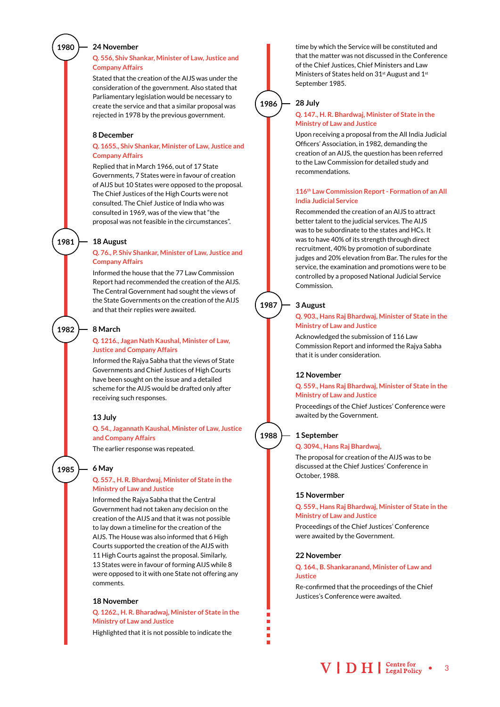#### **24 November**

#### **Q. 556, Shiv Shankar, Minister of Law, Justice and Company Affairs**

Stated that the creation of the AIJS was under the consideration of the government. Also stated that Parliamentary legislation would be necessary to create the service and that a similar proposal was rejected in 1978 by the previous government.

#### **8 December**

#### **Q. 1655., Shiv Shankar, Minister of Law, Justice and Company Affairs**

Replied that in March 1966, out of 17 State Governments, 7 States were in favour of creation of AIJS but 10 States were opposed to the proposal. The Chief Justices of the High Courts were not consulted. The Chief Justice of India who was consulted in 1969, was of the view that "the proposal was not feasible in the circumstances".

#### **18 August**

**1981**

**1982**

**1985**

**1980**

#### **Q. 76., P. Shiv Shankar, Minister of Law, Justice and Company Affairs**

Informed the house that the 77 Law Commission Report had recommended the creation of the AIJS. The Central Government had sought the views of the State Governments on the creation of the AIJS and that their replies were awaited.

#### **8 March**

#### **Q. 1216., Jagan Nath Kaushal, Minister of Law, Justice and Company Affairs**

Informed the Rajya Sabha that the views of State Governments and Chief Justices of High Courts have been sought on the issue and a detailed scheme for the AIJS would be drafted only after receiving such responses.

#### **13 July**

#### **Q. 54., Jagannath Kaushal, Minister of Law, Justice and Company Affairs**

The earlier response was repeated.

#### **6 May**

#### **Q. 557., H. R. Bhardwaj, Minister of State in the Ministry of Law and Justice**

Informed the Rajya Sabha that the Central Government had not taken any decision on the creation of the AIJS and that it was not possible to lay down a timeline for the creation of the AIJS. The House was also informed that 6 High Courts supported the creation of the AIJS with 11 High Courts against the proposal. Similarly, 13 States were in favour of forming AIJS while 8 were opposed to it with one State not offering any comments.

#### **18 November**

**Q. 1262., H. R. Bharadwaj, Minister of State in the Ministry of Law and Justice**

Highlighted that it is not possible to indicate the

time by which the Service will be constituted and that the matter was not discussed in the Conference of the Chief Justices, Chief Ministers and Law Ministers of States held on 31<sup>st</sup> August and 1<sup>st</sup> September 1985.

#### **28 July**

**1986**

**1987**

**1988**

п

#### **Q. 147., H. R. Bhardwaj, Minister of State in the Ministry of Law and Justice**

Upon receiving a proposal from the All India Judicial Officers' Association, in 1982, demanding the creation of an AIJS, the question has been referred to the Law Commission for detailed study and recommendations.

#### **116th Law Commission Report - Formation of an All India Judicial Service**

Recommended the creation of an AIJS to attract better talent to the judicial services. The AIJS was to be subordinate to the states and HCs. It was to have 40% of its strength through direct recruitment, 40% by promotion of subordinate judges and 20% elevation from Bar. The rules for the service, the examination and promotions were to be controlled by a proposed National Judicial Service Commission.

#### **3 August**

#### **Q. 903., Hans Raj Bhardwaj, Minister of State in the Ministry of Law and Justice**

Acknowledged the submission of 116 Law Commission Report and informed the Rajya Sabha that it is under consideration.

#### **12 November**

#### **Q. 559., Hans Raj Bhardwaj, Minister of State in the Ministry of Law and Justice**

Proceedings of the Chief Justices' Conference were awaited by the Government.

#### **1 September**

#### **Q. 3094., Hans Raj Bhardwaj,**

The proposal for creation of the AIJS was to be discussed at the Chief Justices' Conference in October, 1988.

#### **15 Novermber**

**Q. 559., Hans Raj Bhardwaj, Minister of State in the Ministry of Law and Justice**

Proceedings of the Chief Justices' Conference were awaited by the Government.

#### **22 November**

#### **Q. 164., B. Shankaranand, Minister of Law and Justice**

Re-confirmed that the proceedings of the Chief Justices's Conference were awaited.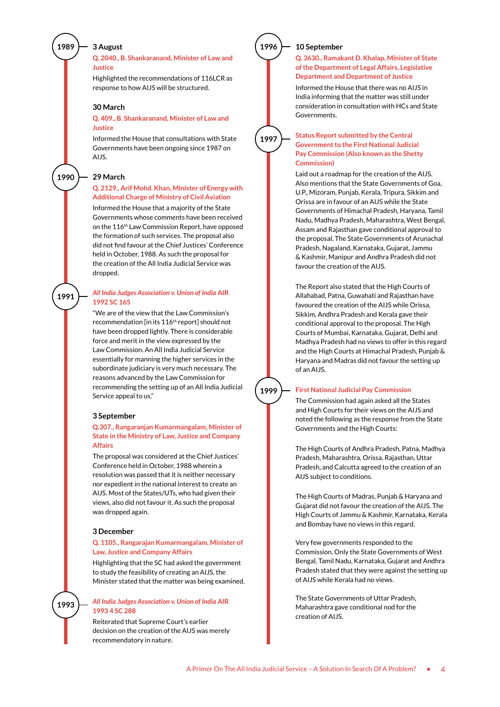#### **3 August**

#### **Q. 2040., B. Shankaranand, Minister of Law and Justice**

Highlighted the recommendations of 116LCR as response to how AIJS will be structured.

#### **30 March**

#### **Q. 409., B. Shankaranand, Minister of Law and Justice**

Informed the House that consultations with State Governments have been ongoing since 1987 on AIJS.

#### **29 March**

**1990**

**1991**

**1989**

#### **Q. 2129., Arif Mohd. Khan, Minister of Energy with Additional Charge of Ministry of Civil Aviation**

Informed the House that a majority of the State Governments whose comments have been received on the 116th Law Commission Report, have opposed the formation of such services. The proposal also did not find favour at the Chief Justices' Conference held in October, 1988. As such the proposal for the creation of the All India Judicial Service was dropped.

#### *All India Judges Association v. Union of India* **AIR 1992 SC 165**

"We are of the view that the Law Commission's recommendation [in its 116<sup>th</sup> report] should not have been dropped lightly. There is considerable force and merit in the view expressed by the Law Commission. An All India Judicial Service essentially for manning the higher services in the subordinate judiciary is very much necessary. The reasons advanced by the Law Commission for recommending the setting up of an All India Judicial Service appeal to us."

#### **3 September**

#### **Q.307., Rangaranjan Kumarmangalam, Minister of State in the Ministry of Law, Justice and Company Affairs**

The proposal was considered at the Chief Justices' Conference held in October, 1988 wherein a resolution was passed that it is neither necessary nor expedient in the national interest to create an AIJS. Most of the States/UTs, who had given their views, also did not favour it. As such the proposal was dropped again.

#### **3 December**

**1993**

#### **Q. 1105., Rangarajan Kumarmangalam, Minister of Law, Justice and Company Affairs**

Highlighting that the SC had asked the government to study the feasibility of creating an AIJS, the Minister stated that the matter was being examined.

#### *All India Judges Association v. Union of India* **AIR 1993 4 SC 288**

Reiterated that Supreme Court's earlier decision on the creation of the AIJS was merely recommendatory in nature.

#### **10 September**

**1997**

**1996**

#### **Q. 3630., Ramakant D. Khalap, Minister of State of the Department of Legal Affairs, Legislative Department and Department of Justice**

Informed the House that there was no AIJS in India informing that the matter was still under consideration in consultation with HCs and State Governments.

**Status Report submitted by the Central Government to the First National Judicial Pay Commission (Also known as the Shetty Commission)**

Laid out a roadmap for the creation of the AIJS. Also mentions that the State Governments of Goa, U.P., Mizoram, Punjab, Kerala, Tripura, Sikkim and Orissa are in favour of an AIJS while the State Governments of Himachal Pradesh, Haryana, Tamil Nadu, Madhya Pradesh, Maharashtra, West Bengal, Assam and Rajasthan gave conditional approval to the proposal. The State Governments of Arunachal Pradesh, Nagaland, Karnataka, Gujarat, Jammu & Kashmir, Manipur and Andhra Pradesh did not favour the creation of the AIJS.

The Report also stated that the High Courts of Allahabad, Patna, Guwahati and Rajasthan have favoured the creation of the AIJS while Orissa, Sikkim, Andhra Pradesh and Kerala gave their conditional approval to the proposal. The High Courts of Mumbai, Karnataka, Gujarat, Delhi and Madhya Pradesh had no views to offer in this regard and the High Courts at Himachal Pradesh, Punjab & Haryana and Madras did not favour the setting up of an AIJS.

#### **1999**

#### **First National Judicial Pay Commission**

The Commission had again asked all the States and High Courts for their views on the AIJS and noted the following as the response from the State Governments and the High Courts:

The High Courts of Andhra Pradesh, Patna, Madhya Pradesh, Maharashtra, Orissa, Rajasthan, Uttar Pradesh, and Calcutta agreed to the creation of an AIJS subject to conditions.

The High Courts of Madras, Punjab & Haryana and Gujarat did not favour the creation of the AIJS. The High Courts of Jammu & Kashmir, Karnataka, Kerala and Bombay have no views in this regard.

Very few governments responded to the Commission. Only the State Governments of West Bengal, Tamil Nadu, Karnataka, Gujarat and Andhra Pradesh stated that they were against the setting up of AIJS while Kerala had no views.

The State Governments of Uttar Pradesh, Maharashtra gave conditional nod for the creation of AIJS.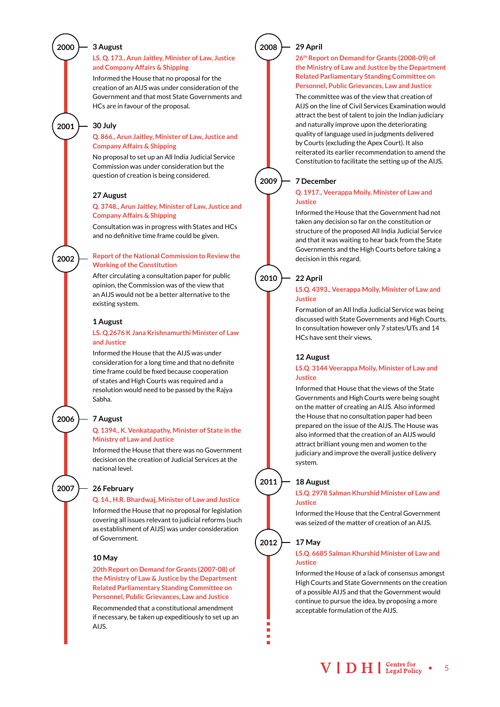#### **3 August**

**2000**

**2001**

**2002**

**2006**

**2007**

#### **LS. Q. 173., Arun Jaitley, Minister of Law, Justice and Company Affairs & Shipping**

Informed the House that no proposal for the creation of an AIJS was under consideration of the Government and that most State Governments and HCs are in favour of the proposal.

#### **30 July**

#### **Q. 866., Arun Jaitley, Minister of Law, Justice and Company Affairs & Shipping**

No proposal to set up an All India Judicial Service Commission was under consideration but the question of creation is being considered.

#### **27 August**

#### **Q. 3748., Arun Jaitley, Minister of Law, Justice and Company Affairs & Shipping**

Consultation was in progress with States and HCs and no definitive time frame could be given.

#### **Report of the National Commission to Review the Working of the Constitution**

After circulating a consultation paper for public opinion, the Commission was of the view that an AIJS would not be a better alternative to the existing system.

#### **1 August**

#### **LS. Q.2676 K Jana Krishnamurthi Minister of Law and Justice**

Informed the House that the AIJS was under consideration for a long time and that no definite time frame could be fixed because cooperation of states and High Courts was required and a resolution would need to be passed by the Rajya Sabha.

#### **7 August**

#### **Q. 1394., K. Venkatapathy, Minister of State in the Ministry of Law and Justice**

Informed the House that there was no Government decision on the creation of Judicial Services at the national level.

#### **26 February**

#### **Q. 14., H.R. Bhardwaj, Minister of Law and Justice**

Informed the House that no proposal for legislation covering all issues relevant to judicial reforms (such as establishment of AIJS) was under consideration of Government.

#### **10 May**

**20th Report on Demand for Grants (2007-08) of the Ministry of Law & Justice by the Department Related Parliamentary Standing Committee on Personnel, Public Grievances, Law and Justice**

Recommended that a constitutional amendment if necessary, be taken up expeditiously to set up an AIJS.



**2009**

**2010**

**2011**

**2012**

#### **29 April**

**26th Report on Demand for Grants (2008-09) of the Ministry of Law and Justice by the Department Related Parliamentary Standing Committee on Personnel, Public Grievances, Law and Justice**

The committee was of the view that creation of AIJS on the line of Civil Services Examination would attract the best of talent to join the Indian judiciary and naturally improve upon the deteriorating quality of language used in judgments delivered by Courts (excluding the Apex Court). It also reiterated its earlier recommendation to amend the Constitution to facilitate the setting up of the AIJS.

#### **7 December**

#### **Q. 1917., Veerappa Moily, Minister of Law and Justice**

Informed the House that the Government had not taken any decision so far on the constitution or structure of the proposed All India Judicial Service and that it was waiting to hear back from the State Governments and the High Courts before taking a decision in this regard.

#### **22 April**

#### **LS.Q. 4393., Veerappa Moily, Minister of Law and Justice**

Formation of an All India Judicial Service was being discussed with State Governments and High Courts. In consultation however only 7 states/UTs and 14 HCs have sent their views.

#### **12 August**

#### **LS.Q. 3144 Veerappa Moily, Minister of Law and Justice**

Informed that House that the views of the State Governments and High Courts were being sought on the matter of creating an AIJS. Also informed the House that no consultation paper had been prepared on the issue of the AIJS. The House was also informed that the creation of an AIJS would attract brilliant young men and women to the judiciary and improve the overall justice delivery system.

#### **18 August**

**LS.Q. 2978 Salman Khurshid Minister of Law and Justice**

Informed the House that the Central Government was seized of the matter of creation of an AIJS.

#### **17 May**

#### **LS.Q. 6685 Salman Khurshid Minister of Law and Justice**

Informed the House of a lack of consensus amongst High Courts and State Governments on the creation of a possible AIJS and that the Government would continue to pursue the idea, by proposing a more acceptable formulation of the AIJS.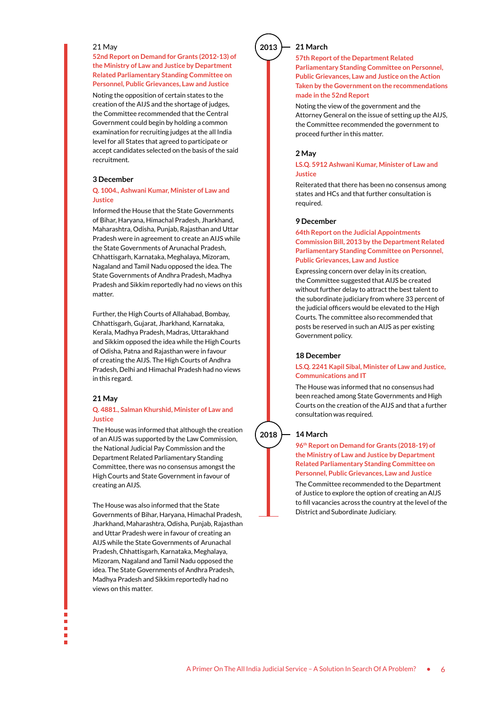#### 21 May

**52nd Report on Demand for Grants (2012-13) of the Ministry of Law and Justice by Department Related Parliamentary Standing Committee on Personnel, Public Grievances, Law and Justice**

Noting the opposition of certain states to the creation of the AIJS and the shortage of judges, the Committee recommended that the Central Government could begin by holding a common examination for recruiting judges at the all India level for all States that agreed to participate or accept candidates selected on the basis of the said recruitment.

#### **3 December**

#### **Q. 1004., Ashwani Kumar, Minister of Law and Justice**

Informed the House that the State Governments of Bihar, Haryana, Himachal Pradesh, Jharkhand, Maharashtra, Odisha, Punjab, Rajasthan and Uttar Pradesh were in agreement to create an AIJS while the State Governments of Arunachal Pradesh, Chhattisgarh, Karnataka, Meghalaya, Mizoram, Nagaland and Tamil Nadu opposed the idea. The State Governments of Andhra Pradesh, Madhya Pradesh and Sikkim reportedly had no views on this matter.

Further, the High Courts of Allahabad, Bombay, Chhattisgarh, Gujarat, Jharkhand, Karnataka, Kerala, Madhya Pradesh, Madras, Uttarakhand and Sikkim opposed the idea while the High Courts of Odisha, Patna and Rajasthan were in favour of creating the AIJS. The High Courts of Andhra Pradesh, Delhi and Himachal Pradesh had no views in this regard.

#### **21 May**

Ì. х

#### **Q. 4881., Salman Khurshid, Minister of Law and Justice**

The House was informed that although the creation of an AIJS was supported by the Law Commission, the National Judicial Pay Commission and the Department Related Parliamentary Standing Committee, there was no consensus amongst the High Courts and State Government in favour of creating an AIJS.

The House was also informed that the State Governments of Bihar, Haryana, Himachal Pradesh, Jharkhand, Maharashtra, Odisha, Punjab, Rajasthan and Uttar Pradesh were in favour of creating an AIJS while the State Governments of Arunachal Pradesh, Chhattisgarh, Karnataka, Meghalaya, Mizoram, Nagaland and Tamil Nadu opposed the idea. The State Governments of Andhra Pradesh, Madhya Pradesh and Sikkim reportedly had no views on this matter.

#### **21 March**

**2013**

**57th Report of the Department Related Parliamentary Standing Committee on Personnel, Public Grievances, Law and Justice on the Action Taken by the Government on the recommendations made in the 52nd Report**

Noting the view of the government and the Attorney General on the issue of setting up the AIJS, the Committee recommended the government to proceed further in this matter.

#### **2 May**

#### **LS.Q. 5912 Ashwani Kumar, Minister of Law and Justice**

Reiterated that there has been no consensus among states and HCs and that further consultation is required.

#### **9 December**

**64th Report on the Judicial Appointments Commission Bill, 2013 by the Department Related Parliamentary Standing Committee on Personnel, Public Grievances, Law and Justice**

Expressing concern over delay in its creation, the Committee suggested that AIJS be created without further delay to attract the best talent to the subordinate judiciary from where 33 percent of the judicial officers would be elevated to the High Courts. The committee also recommended that posts be reserved in such an AIJS as per existing Government policy.

#### **18 December**

#### **LS.Q. 2241 Kapil Sibal, Minister of Law and Justice, Communications and IT**

The House was informed that no consensus had been reached among State Governments and High Courts on the creation of the AIJS and that a further consultation was required.

#### **14 March**

**2018**

**96th Report on Demand for Grants (2018-19) of the Ministry of Law and Justice by Department Related Parliamentary Standing Committee on Personnel, Public Grievances, Law and Justice**

The Committee recommended to the Department of Justice to explore the option of creating an AlJS to fill vacancies across the country at the level of the District and Subordinate Judiciary.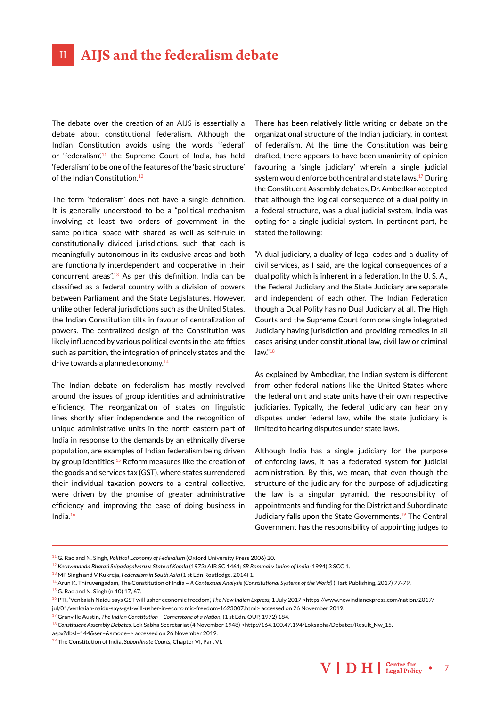## <span id="page-12-0"></span>II **AIJS and the federalism debate**

The debate over the creation of an AIJS is essentially a debate about constitutional federalism. Although the Indian Constitution avoids using the words 'federal' or 'federalism'.<sup>11</sup> the Supreme Court of India, has held 'federalism' to be one of the features of the 'basic structure' of the Indian Constitution.<sup>12</sup>

The term 'federalism' does not have a single definition. It is generally understood to be a "political mechanism involving at least two orders of government in the same political space with shared as well as self-rule in constitutionally divided jurisdictions, such that each is meaningfully autonomous in its exclusive areas and both are functionally interdependent and cooperative in their concurrent areas".13 As per this definition, India can be classified as a federal country with a division of powers between Parliament and the State Legislatures. However, unlike other federal jurisdictions such as the United States, the Indian Constitution tilts in favour of centralization of powers. The centralized design of the Constitution was likely influenced by various political events in the late fifties such as partition, the integration of princely states and the drive towards a planned economy.<sup>14</sup>

The Indian debate on federalism has mostly revolved around the issues of group identities and administrative efficiency. The reorganization of states on linguistic lines shortly after independence and the recognition of unique administrative units in the north eastern part of India in response to the demands by an ethnically diverse population, are examples of Indian federalism being driven by group identities.<sup>15</sup> Reform measures like the creation of the goods and services tax (GST), where states surrendered their individual taxation powers to a central collective, were driven by the promise of greater administrative efficiency and improving the ease of doing business in India.16

There has been relatively little writing or debate on the organizational structure of the Indian judiciary, in context of federalism. At the time the Constitution was being drafted, there appears to have been unanimity of opinion favouring a 'single judiciary' wherein a single judicial system would enforce both central and state laws.<sup>17</sup> During the Constituent Assembly debates, Dr. Ambedkar accepted that although the logical consequence of a dual polity in a federal structure, was a dual judicial system, India was opting for a single judicial system. In pertinent part, he stated the following:

"A dual judiciary, a duality of legal codes and a duality of civil services, as I said, are the logical consequences of a dual polity which is inherent in a federation. In the U. S. A., the Federal Judiciary and the State Judiciary are separate and independent of each other. The Indian Federation though a Dual Polity has no Dual Judiciary at all. The High Courts and the Supreme Court form one single integrated Judiciary having jurisdiction and providing remedies in all cases arising under constitutional law, civil law or criminal law."18

As explained by Ambedkar, the Indian system is different from other federal nations like the United States where the federal unit and state units have their own respective judiciaries. Typically, the federal judiciary can hear only disputes under federal law, while the state judiciary is limited to hearing disputes under state laws.

Although India has a single judiciary for the purpose of enforcing laws, it has a federated system for judicial administration. By this, we mean, that even though the structure of the judiciary for the purpose of adjudicating the law is a singular pyramid, the responsibility of appointments and funding for the District and Subordinate Judiciary falls upon the State Governments.<sup>19</sup> The Central Government has the responsibility of appointing judges to

<sup>11</sup> G. Rao and N. Singh, *Political Economy of Federalism* (Oxford University Press 2006) 20.

<sup>12</sup> *Kesavananda Bharati Sripadagalvaru v. State of Kerala* (1973) AIR SC 1461; *SR Bommai v Union of India* (1994) 3 SCC 1.

<sup>13</sup> MP Singh and V Kukreja, *Federalism in South Asia* (1 st Edn Routledge, 2014) 1.

<sup>14</sup> Arun K. Thiruvengadam, The Constitution of India – *A Contextual Analysis (Constitutional Systems of the World)* (Hart Publishing, 2017) 77-79.

<sup>15</sup> G. Rao and N. Singh (n 10) 17, 67.

<sup>16</sup> PTI, 'Venkaiah Naidu says GST will usher economic freedom', *The New Indian Express,* 1 July 2017 <https://www.newindianexpress.com/nation/2017/ jul/01/venkaiah-naidu-says-gst-will-usher-in-econo mic-freedom-1623007.html> accessed on 26 November 2019.

<sup>17</sup> Granville Austin, *The Indian Constitution – Cornerstone of a Nation,* (1 st Edn. OUP, 1972) 184.

<sup>18</sup> *Constituent Assembly Debates,* Lok Sabha Secretariat (4 November 1948) <http://164.100.47.194/Loksabha/Debates/Result\_Nw\_15.

aspx?dbsl=144&ser=&smode=> accessed on 26 November 2019.

<sup>19</sup> The Constitution of India, *Subordinate Courts,* Chapter VI, Part VI.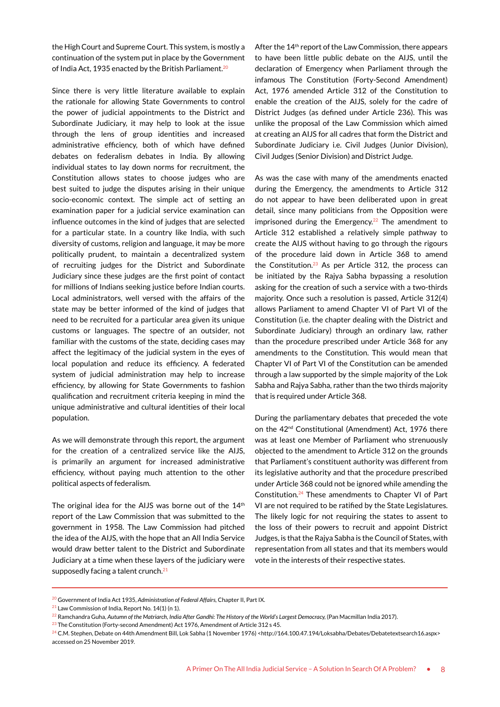the High Court and Supreme Court. This system, is mostly a continuation of the system put in place by the Government of India Act, 1935 enacted by the British Parliament.<sup>20</sup>

Since there is very little literature available to explain the rationale for allowing State Governments to control the power of judicial appointments to the District and Subordinate Judiciary, it may help to look at the issue through the lens of group identities and increased administrative efficiency, both of which have defined debates on federalism debates in India. By allowing individual states to lay down norms for recruitment, the Constitution allows states to choose judges who are best suited to judge the disputes arising in their unique socio-economic context. The simple act of setting an examination paper for a judicial service examination can influence outcomes in the kind of judges that are selected for a particular state. In a country like India, with such diversity of customs, religion and language, it may be more politically prudent, to maintain a decentralized system of recruiting judges for the District and Subordinate Judiciary since these judges are the first point of contact for millions of Indians seeking justice before Indian courts. Local administrators, well versed with the affairs of the state may be better informed of the kind of judges that need to be recruited for a particular area given its unique customs or languages. The spectre of an outsider, not familiar with the customs of the state, deciding cases may affect the legitimacy of the judicial system in the eyes of local population and reduce its efficiency. A federated system of judicial administration may help to increase efficiency, by allowing for State Governments to fashion qualification and recruitment criteria keeping in mind the unique administrative and cultural identities of their local population.

As we will demonstrate through this report, the argument for the creation of a centralized service like the AIJS, is primarily an argument for increased administrative efficiency, without paying much attention to the other political aspects of federalism.

The original idea for the AIJS was borne out of the 14th report of the Law Commission that was submitted to the government in 1958. The Law Commission had pitched the idea of the AIJS, with the hope that an All India Service would draw better talent to the District and Subordinate Judiciary at a time when these layers of the judiciary were supposedly facing a talent crunch. $21$ 

After the 14<sup>th</sup> report of the Law Commission, there appears to have been little public debate on the AIJS, until the declaration of Emergency when Parliament through the infamous The Constitution (Forty-Second Amendment) Act, 1976 amended Article 312 of the Constitution to enable the creation of the AIJS, solely for the cadre of District Judges (as defined under Article 236). This was unlike the proposal of the Law Commission which aimed at creating an AIJS for all cadres that form the District and Subordinate Judiciary i.e. Civil Judges (Junior Division), Civil Judges (Senior Division) and District Judge.

As was the case with many of the amendments enacted during the Emergency, the amendments to Article 312 do not appear to have been deliberated upon in great detail, since many politicians from the Opposition were imprisoned during the Emergency.<sup>22</sup> The amendment to Article 312 established a relatively simple pathway to create the AIJS without having to go through the rigours of the procedure laid down in Article 368 to amend the Constitution. $23$  As per Article 312, the process can be initiated by the Rajya Sabha bypassing a resolution asking for the creation of such a service with a two-thirds majority. Once such a resolution is passed, Article 312(4) allows Parliament to amend Chapter VI of Part VI of the Constitution (i.e. the chapter dealing with the District and Subordinate Judiciary) through an ordinary law, rather than the procedure prescribed under Article 368 for any amendments to the Constitution. This would mean that Chapter VI of Part VI of the Constitution can be amended through a law supported by the simple majority of the Lok Sabha and Rajya Sabha, rather than the two thirds majority that is required under Article 368.

During the parliamentary debates that preceded the vote on the 42nd Constitutional (Amendment) Act, 1976 there was at least one Member of Parliament who strenuously objected to the amendment to Article 312 on the grounds that Parliament's constituent authority was different from its legislative authority and that the procedure prescribed under Article 368 could not be ignored while amending the Constitution.24 These amendments to Chapter VI of Part VI are not required to be ratified by the State Legislatures. The likely logic for not requiring the states to assent to the loss of their powers to recruit and appoint District Judges, is that the Rajya Sabha is the Council of States, with representation from all states and that its members would vote in the interests of their respective states.

20 Government of India Act 1935, *Administration of Federal Affairs,* Chapter II, Part IX.

- 22 Ramchandra Guha, *Autumn of the Matriarch, India After Gandhi: The History of the World's Largest Democracy,* (Pan Macmillan India 2017).
- $23$  The Constitution (Forty-second Amendment) Act 1976, Amendment of Article 312 s 45.
- <sup>24</sup> C.M. Stephen, Debate on 44th Amendment Bill, Lok Sabha (1 November 1976) <http://164.100.47.194/Loksabha/Debates/Debatetextsearch16.aspx> accessed on 25 November 2019.

 $21$  Law Commission of India, Report No. 14(1) (n 1).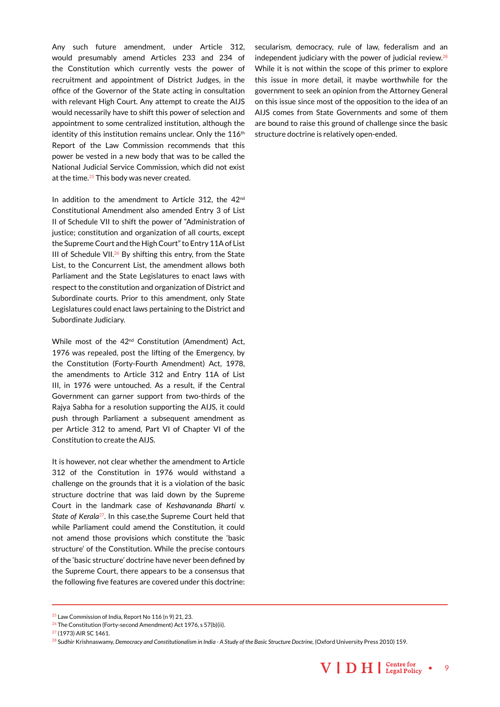Any such future amendment, under Article 312, would presumably amend Articles 233 and 234 of the Constitution which currently vests the power of recruitment and appointment of District Judges, in the office of the Governor of the State acting in consultation with relevant High Court. Any attempt to create the AIJS would necessarily have to shift this power of selection and appointment to some centralized institution, although the identity of this institution remains unclear. Only the 116<sup>th</sup> Report of the Law Commission recommends that this power be vested in a new body that was to be called the National Judicial Service Commission, which did not exist at the time.<sup>25</sup> This body was never created.

In addition to the amendment to Article 312, the 42<sup>nd</sup> Constitutional Amendment also amended Entry 3 of List II of Schedule VII to shift the power of "Administration of justice; constitution and organization of all courts, except the Supreme Court and the High Court" to Entry 11A of List III of Schedule VII.26 By shifting this entry, from the State List, to the Concurrent List, the amendment allows both Parliament and the State Legislatures to enact laws with respect to the constitution and organization of District and Subordinate courts. Prior to this amendment, only State Legislatures could enact laws pertaining to the District and Subordinate Judiciary.

While most of the 42nd Constitution (Amendment) Act, 1976 was repealed, post the lifting of the Emergency, by the Constitution (Forty-Fourth Amendment) Act, 1978, the amendments to Article 312 and Entry 11A of List III, in 1976 were untouched. As a result, if the Central Government can garner support from two-thirds of the Rajya Sabha for a resolution supporting the AIJS, it could push through Parliament a subsequent amendment as per Article 312 to amend, Part VI of Chapter VI of the Constitution to create the AIJS.

It is however, not clear whether the amendment to Article 312 of the Constitution in 1976 would withstand a challenge on the grounds that it is a violation of the basic structure doctrine that was laid down by the Supreme Court in the landmark case of *Keshavananda Bharti* v. *State of Kerala*27. In this case,the Supreme Court held that while Parliament could amend the Constitution, it could not amend those provisions which constitute the 'basic structure' of the Constitution. While the precise contours of the 'basic structure' doctrine have never been defined by the Supreme Court, there appears to be a consensus that the following five features are covered under this doctrine:

secularism, democracy, rule of law, federalism and an independent judiciary with the power of judicial review. $28$ While it is not within the scope of this primer to explore this issue in more detail, it maybe worthwhile for the government to seek an opinion from the Attorney General on this issue since most of the opposition to the idea of an AIJS comes from State Governments and some of them are bound to raise this ground of challenge since the basic structure doctrine is relatively open-ended.

<sup>28</sup> Sudhir Krishnaswamy, *Democracy and Constitutionalism in India - A Study of the Basic Structure Doctrine,* (Oxford University Press 2010) 159.



 $25$  Law Commission of India, Report No 116 (n 9) 21, 23.

 $26$  The Constitution (Forty-second Amendment) Act 1976, s 57(b)(ii).

<sup>27 (1973)</sup> AIR SC 1461.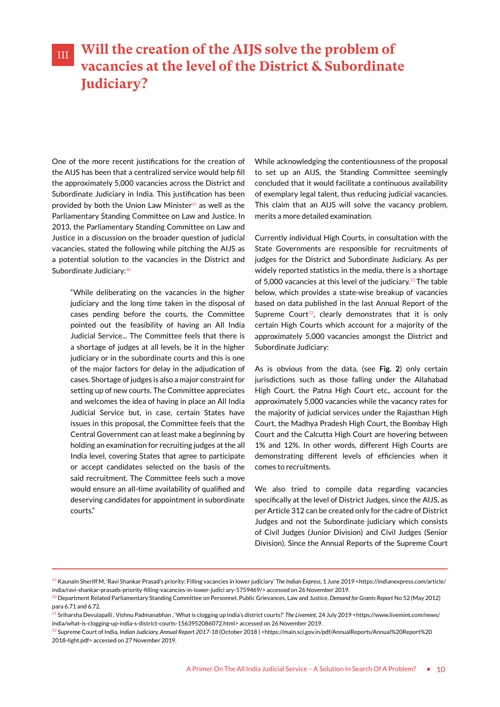### <span id="page-15-0"></span>**Will the creation of the AIJS solve the problem of vacancies at the level of the District & Subordinate Judiciary?** III

One of the more recent justifications for the creation of the AIJS has been that a centralized service would help fill the approximately 5,000 vacancies across the District and Subordinate Judiciary in India. This justification has been provided by both the Union Law Minister<sup>29</sup> as well as the Parliamentary Standing Committee on Law and Justice. In 2013, the Parliamentary Standing Committee on Law and Justice in a discussion on the broader question of judicial vacancies, stated the following while pitching the AIJS as a potential solution to the vacancies in the District and Subordinate Judiciary: 30

"While deliberating on the vacancies in the higher judiciary and the long time taken in the disposal of cases pending before the courts, the Committee pointed out the feasibility of having an All India Judicial Service... The Committee feels that there is a shortage of judges at all levels, be it in the higher judiciary or in the subordinate courts and this is one of the major factors for delay in the adjudication of cases. Shortage of judges is also a major constraint for setting up of new courts. The Committee appreciates and welcomes the idea of having in place an All India Judicial Service but, in case, certain States have issues in this proposal, the Committee feels that the Central Government can at least make a beginning by holding an examination for recruiting judges at the all India level, covering States that agree to participate or accept candidates selected on the basis of the said recruitment. The Committee feels such a move would ensure an all-time availability of qualified and deserving candidates for appointment in subordinate courts."

While acknowledging the contentiousness of the proposal to set up an AIJS, the Standing Committee seemingly concluded that it would facilitate a continuous availability of exemplary legal talent, thus reducing judicial vacancies. This claim that an AIJS will solve the vacancy problem, merits a more detailed examination.

Currently individual High Courts, in consultation with the State Governments are responsible for recruitments of judges for the District and Subordinate Judiciary. As per widely reported statistics in the media, there is a shortage of 5,000 vacancies at this level of the judiciary. $31$  The table below, which provides a state-wise breakup of vacancies based on data published in the last Annual Report of the Supreme Court<sup>32</sup>, clearly demonstrates that it is only certain High Courts which account for a majority of the approximately 5,000 vacancies amongst the District and Subordinate Judiciary:

As is obvious from the data, (see **Fig. 2**) only certain jurisdictions such as those falling under the Allahabad High Court, the Patna High Court etc,. account for the approximately 5,000 vacancies while the vacancy rates for the majority of judicial services under the Rajasthan High Court, the Madhya Pradesh High Court, the Bombay High Court and the Calcutta High Court are hovering between 1% and 12%. In other words, different High Courts are demonstrating different levels of efficiencies when it comes to recruitments.

We also tried to compile data regarding vacancies specifically at the level of District Judges, since the AIJS, as per Article 312 can be created only for the cadre of District Judges and not the Subordinate judiciary which consists of Civil Judges (Junior Division) and Civil Judges (Senior Division). Since the Annual Reports of the Supreme Court

<sup>29</sup> Kaunain Sheriff M, 'Ravi Shankar Prasad's priority: Filling vacancies in lower judiciary' *The Indian Express,* 1 June 2019 <https://indianexpress.com/article/ india/ravi-shankar-prasads-priority-filling-vacancies-in-lower-judici ary-5759469/> accessed on 26 November 2019.

<sup>30</sup> Department Related Parliamentary Standing Committee on Personnel, Public Grievances, Law and Justice, *Demand for Grants Report* No 52 (May 2012) para 6.71 and 6.72.

<sup>31</sup> Sriharsha Devulapalli , Vishnu Padmanabhan , 'What is clogging up India's district courts?' *The Livemint,* 24 July 2019 <https://www.livemint.com/news/ india/what-is-clogging-up-india-s-district-courts-1563952086072.html> accessed on 26 November 2019.

<sup>32</sup> Supreme Court of India, *Indian Judiciary, Annual Report 2017-18* (October 2018 ) <https://main.sci.gov.in/pdf/AnnualReports/Annual%20Report%20 2018-light.pdf> accessed on 27 November 2019.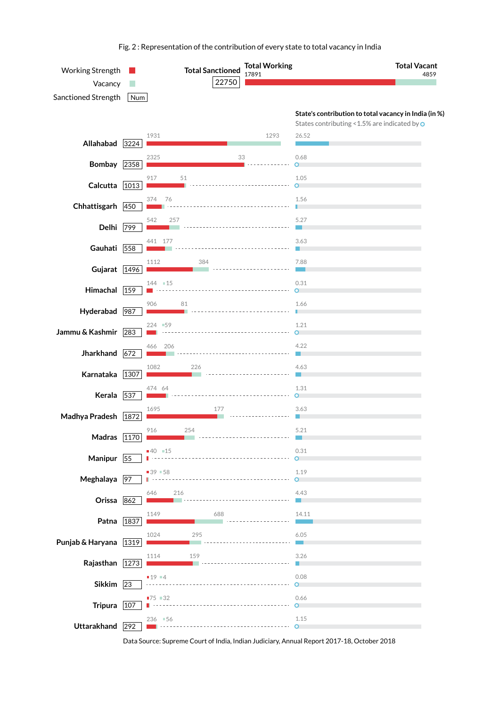| Working Strength    |      | <b>Total Sanctioned</b>     | <b>Total Working</b>      | <b>Total Vacant</b>                                                                                    |
|---------------------|------|-----------------------------|---------------------------|--------------------------------------------------------------------------------------------------------|
| Vacancy             |      | 22750                       | 17891                     | 4859                                                                                                   |
| Sanctioned Strength | Num  |                             |                           |                                                                                                        |
|                     |      |                             |                           | State's contribution to total vacancy in India (in %)<br>States contributing < 1.5% are indicated by O |
| Allahabad           | 3224 | 1931                        | 1293                      | 26.52                                                                                                  |
| <b>Bombay</b>       | 2358 | 2325<br>33                  |                           | 0.68<br>Ο                                                                                              |
| Calcutta            | 1013 | 917<br>51                   |                           | 1.05<br>$\circ$                                                                                        |
| Chhattisgarh        | 450  | 374<br>76                   | ------------------        | 1.56<br>п                                                                                              |
| Delhi               | 799  | 542<br>257                  |                           | 5.27                                                                                                   |
| Gauhati             | 558  | 441 177                     |                           | 3.63                                                                                                   |
| Gujarat $1496$      |      | 1112<br>384                 |                           | 7.88                                                                                                   |
| Himachal            | 159  | $144 = 15$<br>.             |                           | 0.31<br>$\circ$                                                                                        |
| Hyderabad           | 987  | 906<br>81                   |                           | 1.66                                                                                                   |
| Jammu & Kashmir     | 283  | $224$ = 59                  |                           | 1.21<br>n                                                                                              |
| Jharkhand           | 672  | 466<br>206                  |                           | 4.22                                                                                                   |
| Karnataka           | 1307 | 1082<br>226                 |                           | 4.63                                                                                                   |
| Kerala              | 537  | 474 64                      |                           | 1.31<br>$\circ$                                                                                        |
| Madhya Pradesh      | 1872 | 1695<br>177                 |                           | 3.63                                                                                                   |
| Madras 1170         |      | 916<br>254                  |                           | 5.21                                                                                                   |
| Manipur $\sqrt{55}$ |      | $-40$ $-15$                 |                           | 0.31<br>o                                                                                              |
| Meghalaya           | 97   | $39 = 58$                   |                           | 1.19<br>о                                                                                              |
| Orissa              | 862  | 646<br>216                  |                           | 4.43                                                                                                   |
| Patna 1837          |      | 1149<br>688                 |                           | 14.11                                                                                                  |
| Punjab & Haryana    | 1319 | 1024<br>295                 |                           | 6.05                                                                                                   |
| Rajasthan           | 1273 | 1114<br>159                 |                           | 3.26                                                                                                   |
| Sikkim $\sqrt{23}$  |      | $19 = 4$                    |                           | 0.08<br>$\circ$                                                                                        |
| <b>Tripura</b>      | 107  | ■75 ■32<br><u>.</u><br>Ш    |                           | 0.66<br>$\circ$                                                                                        |
| Uttarakhand 292     |      | 236 56<br><b>TI</b> + + + + | ------------------------- | 1.15<br>$\circ$                                                                                        |

Data Source: Supreme Court of India, Indian Judiciary, Annual Report 2017-18, October 2018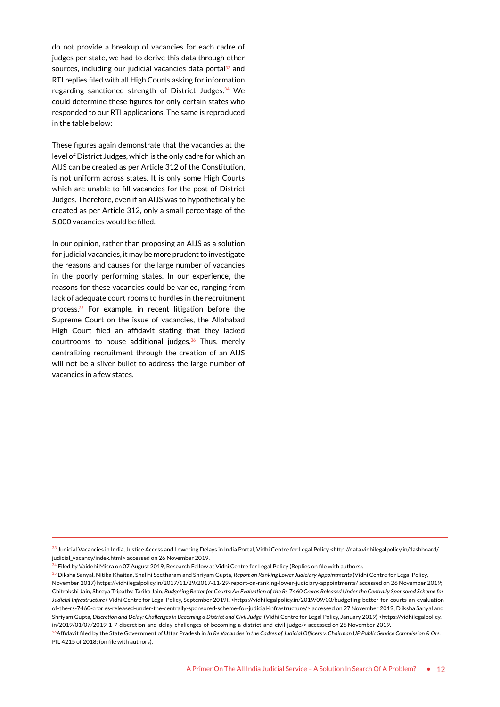do not provide a breakup of vacancies for each cadre of judges per state, we had to derive this data through other sources, including our judicial vacancies data portal<sup>33</sup> and RTI replies filed with all High Courts asking for information regarding sanctioned strength of District Judges.<sup>34</sup> We could determine these figures for only certain states who responded to our RTI applications. The same is reproduced in the table below:

These figures again demonstrate that the vacancies at the level of District Judges, which is the only cadre for which an AIJS can be created as per Article 312 of the Constitution, is not uniform across states. It is only some High Courts which are unable to fill vacancies for the post of District Judges. Therefore, even if an AIJS was to hypothetically be created as per Article 312, only a small percentage of the 5,000 vacancies would be filled.

In our opinion, rather than proposing an AIJS as a solution for judicial vacancies, it may be more prudent to investigate the reasons and causes for the large number of vacancies in the poorly performing states. In our experience, the reasons for these vacancies could be varied, ranging from lack of adequate court rooms to hurdles in the recruitment process.35 For example, in recent litigation before the Supreme Court on the issue of vacancies, the Allahabad High Court filed an affidavit stating that they lacked courtrooms to house additional judges.<sup>36</sup> Thus, merely centralizing recruitment through the creation of an AIJS will not be a silver bullet to address the large number of vacancies in a few states.

<sup>&</sup>lt;sup>33</sup> Judicial Vacancies in India, Justice Access and Lowering Delays in India Portal, Vidhi Centre for Legal Policy <http://data.vidhilegalpolicy.in/dashboard/ judicial\_vacancy/index.html> accessed on 26 November 2019.

<sup>&</sup>lt;sup>4</sup> Filed bv Vaidehi Misra on 07 August 2019, Research Fellow at Vidhi Centre for Legal Policy (Replies on file with authors).

<sup>35</sup> Diksha Sanyal, Nitika Khaitan, Shalini Seetharam and Shriyam Gupta, *Report on Ranking Lower Judiciary Appointments* (Vidhi Centre for Legal Policy, November 2017) https://vidhilegalpolicy.in/2017/11/29/2017-11-29-report-on-ranking-lower-judiciary-appointments/ accessed on 26 November 2019; Chitrakshi Jain, Shreya Tripathy, Tarika Jain, *Budgeting Better for Courts: An Evaluation of the Rs 7460 Crores Released Under the Centrally Sponsored Scheme for*  Judicial Infrastructure (Vidhi Centre for Legal Policy, September 2019). <https://vidhilegalpolicy.in/2019/09/03/budgeting-better-for-courts-an-evaluationof-the-rs-7460-cror es-released-under-the-centrally-sponsored-scheme-for-judicial-infrastructure/> accessed on 27 November 2019; D iksha Sanyal and Shriyam Gupta, *Discretion and Delay: Challenges in Becoming a District and Civil Judge,* (Vidhi Centre for Legal Policy, January 2019) <https://vidhilegalpolicy. in/2019/01/07/2019-1-7-discretion-and-delay-challenges-of-becoming-a-district-and-civil-judge/> accessed on 26 November 2019.

<sup>36</sup>Affidavit filed by the State Government of Uttar Pradesh in *In Re Vacancies in the Cadres of Judicial Officers v. Chairman UP Public Service Commission & Ors.* PIL 4215 of 2018; (on file with authors).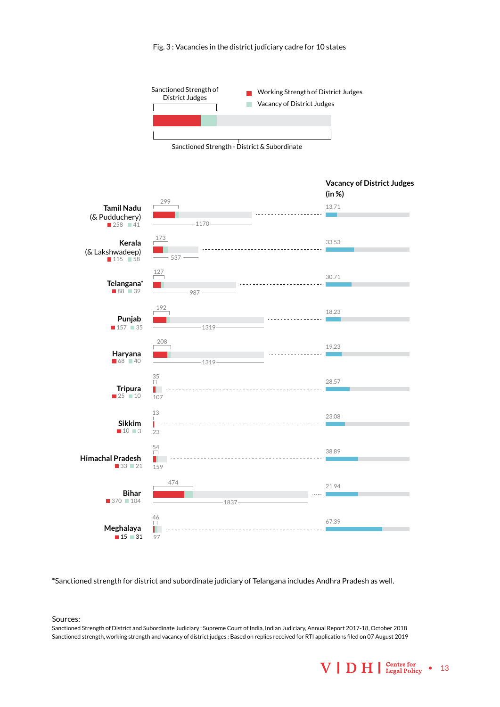

Sanctioned Strength - District & Subordinate

|                                                 |                                                      | <b>Vacancy of District Judges</b><br>(in %) |
|-------------------------------------------------|------------------------------------------------------|---------------------------------------------|
| <b>Tamil Nadu</b><br>(& Pudduchery)<br>$258$ 41 | 299<br>$1170 -$                                      | 13.71                                       |
| Kerala<br>(& Lakshwadeep)<br>$115$ 58           | 173<br>$-537 -$                                      | 33.53                                       |
| Telangana*<br>$88$ 39                           | 127<br>$987 -$                                       | 30.71                                       |
| Punjab<br>$157$ 35                              | 192<br>$-1319-$                                      | 18.23                                       |
| Haryana<br>$68$ 40                              | 208<br>$-1319-$                                      | 19.23                                       |
| <b>Tripura</b><br>$25$ $10$                     | 35<br>П.<br>---------------------------------<br>107 | 28.57                                       |
| <b>Sikkim</b><br>$10 \square$                   | 13<br><br>23                                         | 23.08                                       |
| <b>Himachal Pradesh</b><br>$33$ $21$            | 54<br>П<br>159                                       | 38.89                                       |
| <b>Bihar</b><br>$370 \equiv 104$                | 474<br>$-1837-$                                      | 21.94                                       |
| Meghalaya<br>$15 - 31$                          | $^{46}_{\Box}$<br>Ш<br>97                            | 67.39                                       |

\*Sanctioned strength for district and subordinate judiciary of Telangana includes Andhra Pradesh as well.

Sources:

Sanctioned Strength of District and Subordinate Judiciary : Supreme Court of India, Indian Judiciary, Annual Report 2017-18, October 2018 Sanctioned strength, working strength and vacancy of district judges : Based on replies received for RTI applications filed on 07 August 2019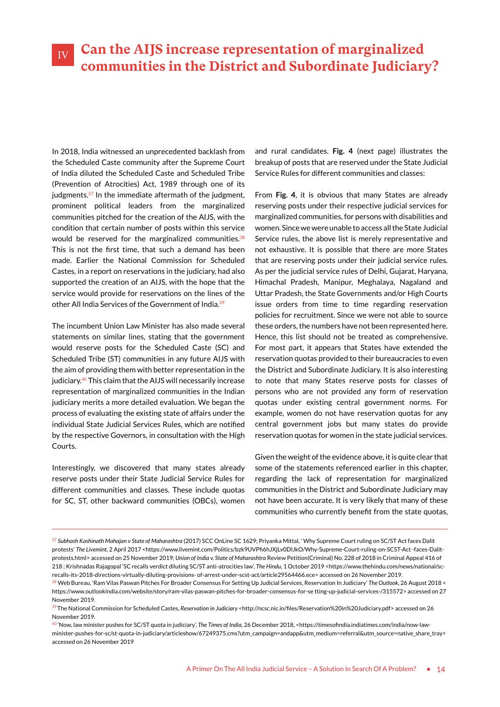### <span id="page-19-0"></span>**Can the AIJS increase representation of marginalized communities in the District and Subordinate Judiciary?** IV

In 2018, India witnessed an unprecedented backlash from the Scheduled Caste community after the Supreme Court of India diluted the Scheduled Caste and Scheduled Tribe (Prevention of Atrocities) Act, 1989 through one of its judgments.<sup>37</sup> In the immediate aftermath of the judgment, prominent political leaders from the marginalized communities pitched for the creation of the AIJS, with the condition that certain number of posts within this service would be reserved for the marginalized communities.<sup>38</sup> This is not the first time, that such a demand has been made. Earlier the National Commission for Scheduled Castes, in a report on reservations in the judiciary, had also supported the creation of an AIJS, with the hope that the service would provide for reservations on the lines of the other All India Services of the Government of India.<sup>39</sup>

The incumbent Union Law Minister has also made several statements on similar lines, stating that the government would reserve posts for the Scheduled Caste (SC) and Scheduled Tribe (ST) communities in any future AIJS with the aim of providing them with better representation in the judiciary.<sup>40</sup> This claim that the AIJS will necessarily increase representation of marginalized communities in the Indian judiciary merits a more detailed evaluation. We began the process of evaluating the existing state of affairs under the individual State Judicial Services Rules, which are notified by the respective Governors, in consultation with the High Courts.

Interestingly, we discovered that many states already reserve posts under their State Judicial Service Rules for different communities and classes. These include quotas for SC, ST, other backward communities (OBCs), women

and rural candidates. **Fig. 4** (next page) illustrates the breakup of posts that are reserved under the State Judicial Service Rules for different communities and classes:

From **Fig. 4**, it is obvious that many States are already reserving posts under their respective judicial services for marginalized communities, for persons with disabilities and women. Since we were unable to access all the State Judicial Service rules, the above list is merely representative and not exhaustive. It is possible that there are more States that are reserving posts under their judicial service rules. As per the judicial service rules of Delhi, Gujarat, Haryana, Himachal Pradesh, Manipur, Meghalaya, Nagaland and Uttar Pradesh, the State Governments and/or High Courts issue orders from time to time regarding reservation policies for recruitment. Since we were not able to source these orders, the numbers have not been represented here. Hence, this list should not be treated as comprehensive. For most part, it appears that States have extended the reservation quotas provided to their bureaucracies to even the District and Subordinate Judiciary. It is also interesting to note that many States reserve posts for classes of persons who are not provided any form of reservation quotas under existing central government norms. For example, women do not have reservation quotas for any central government jobs but many states do provide reservation quotas for women in the state judicial services.

Given the weight of the evidence above, it is quite clear that some of the statements referenced earlier in this chapter, regarding the lack of representation for marginalized communities in the District and Subordinate Judiciary may not have been accurate. It is very likely that many of these communities who currently benefit from the state quotas,

<sup>37</sup> *Subhash Kashinath Mahajan v State of Maharashtra* (2017) SCC OnLine SC 1629; Priyanka Mittal, ' Why Supreme Court ruling on SC/ST Act faces Dalit protests' *The Livemint*, 2 April 2017 <https://www.livemint.com/Politics/bzk9UVPfi6hJXjLv0DlJkO/Why-Supreme-Court-ruling-on-SCST-Act -faces-Dalitprotests.html> accessed on 25 November 2019; *Union of India v. State of Maharashtra* Review Petition(Criminal) No. 228 of 2018 in Criminal Appeal 416 of 218 ; Krishnadas Rajagopal 'SC recalls verdict diluting SC/ST anti-atrocities law', *The Hindu,* 1 October 2019 <https://www.thehindu.com/news/national/screcalls-its-2018-directions-virtually-diluting-provisions- of-arrest-under-scst-act/article29564466.ece> accessed on 26 November 2019.

<sup>38</sup> Web Bureau, 'Ram Vilas Paswan Pitches For Broader Consensus For Setting Up Judicial Services, Reservation In Judiciary' *The Outlook*, 26 August 2018 < https://www.outlookindia.com/website/story/ram-vilas-paswan-pitches-for-broader-consensus-for-se tting-up-judicial-services-/315572> accessed on 27 November 2019.

<sup>39</sup> The National Commission for Scheduled Castes, *Reservation in Judiciary* <http://ncsc.nic.in/files/Reservation%20in%20Judiciary.pdf> accessed on 26 November 2019.

<sup>40 &#</sup>x27;Now, law minister pushes for SC/ST quota in judiciary', *The Times of India,* 26 December 2018, <https://timesofindia.indiatimes.com/india/now-lawminister-pushes-for-sc/st-quota-in-judiciary/articleshow/67249375.cms?utm\_campaign=andapp&utm\_medium=referral&utm\_source=native\_share\_tray> accessed on 26 November 2019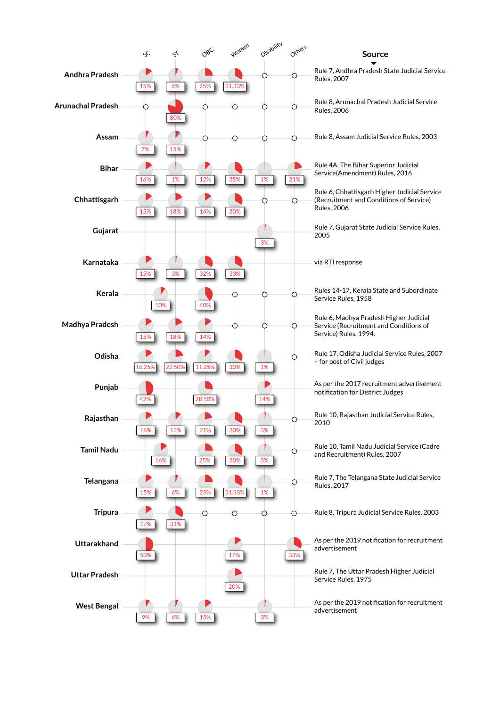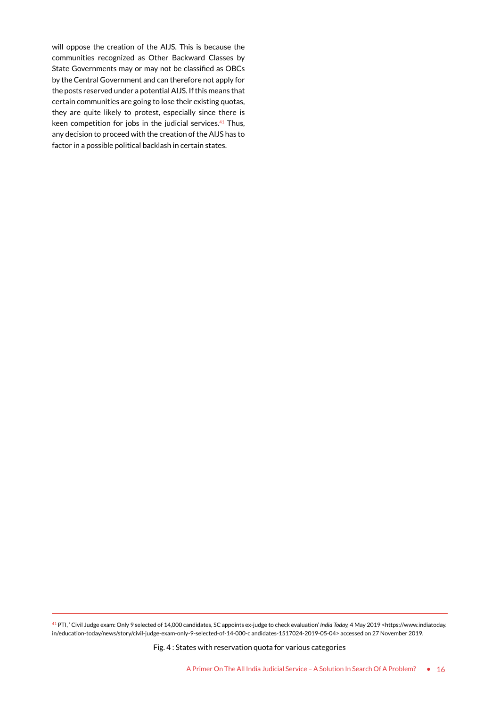will oppose the creation of the AIJS. This is because the communities recognized as Other Backward Classes by State Governments may or may not be classified as OBCs by the Central Government and can therefore not apply for the posts reserved under a potential AIJS. If this means that certain communities are going to lose their existing quotas, they are quite likely to protest, especially since there is keen competition for jobs in the judicial services.<sup>41</sup> Thus, any decision to proceed with the creation of the AIJS has to factor in a possible political backlash in certain states.

41 PTI, ' Civil Judge exam: Only 9 selected of 14,000 candidates, SC appoints ex-judge to check evaluation' *India Today,* 4 May 2019 <https://www.indiatoday. in/education-today/news/story/civil-judge-exam-only-9-selected-of-14-000-c andidates-1517024-2019-05-04> accessed on 27 November 2019.

Fig. 4 : States with reservation quota for various categories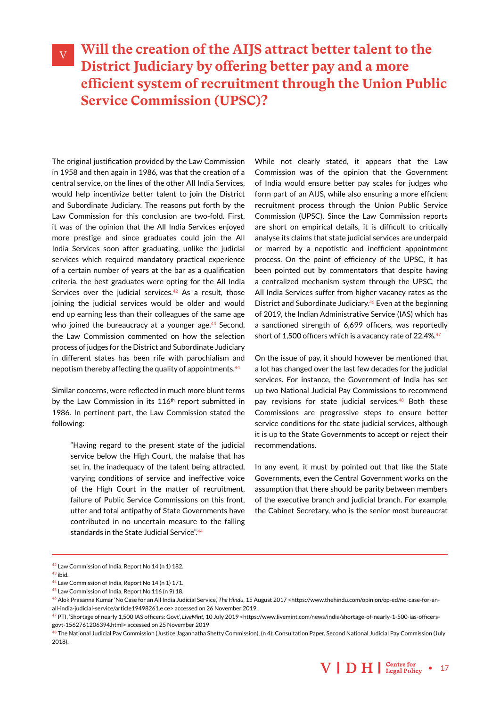## <span id="page-22-0"></span>**Will the creation of the AIJS attract better talent to the District Judiciary by offering better pay and a more efficient system of recruitment through the Union Public Service Commission (UPSC)?** V

The original justification provided by the Law Commission in 1958 and then again in 1986, was that the creation of a central service, on the lines of the other All India Services, would help incentivize better talent to join the District and Subordinate Judiciary. The reasons put forth by the Law Commission for this conclusion are two-fold. First, it was of the opinion that the All India Services enjoyed more prestige and since graduates could join the All India Services soon after graduating, unlike the judicial services which required mandatory practical experience of a certain number of years at the bar as a qualification criteria, the best graduates were opting for the All India Services over the judicial services. $42$  As a result, those joining the judicial services would be older and would end up earning less than their colleagues of the same age who joined the bureaucracy at a younger age.<sup>43</sup> Second, the Law Commission commented on how the selection process of judges for the District and Subordinate Judiciary in different states has been rife with parochialism and nepotism thereby affecting the quality of appointments.44

Similar concerns, were reflected in much more blunt terms by the Law Commission in its 116<sup>th</sup> report submitted in 1986. In pertinent part, the Law Commission stated the following:

"Having regard to the present state of the judicial service below the High Court, the malaise that has set in, the inadequacy of the talent being attracted, varying conditions of service and ineffective voice of the High Court in the matter of recruitment, failure of Public Service Commissions on this front, utter and total antipathy of State Governments have contributed in no uncertain measure to the falling standards in the State Judicial Service".44

While not clearly stated, it appears that the Law Commission was of the opinion that the Government of India would ensure better pay scales for judges who form part of an AIJS, while also ensuring a more efficient recruitment process through the Union Public Service Commission (UPSC). Since the Law Commission reports are short on empirical details, it is difficult to critically analyse its claims that state judicial services are underpaid or marred by a nepotistic and inefficient appointment process. On the point of efficiency of the UPSC, it has been pointed out by commentators that despite having a centralized mechanism system through the UPSC, the All India Services suffer from higher vacancy rates as the District and Subordinate Judiciary.46 Even at the beginning of 2019, the Indian Administrative Service (IAS) which has a sanctioned strength of 6,699 officers, was reportedly short of 1,500 officers which is a vacancy rate of 22.4%.<sup>47</sup>

On the issue of pay, it should however be mentioned that a lot has changed over the last few decades for the judicial services. For instance, the Government of India has set up two National Judicial Pay Commissions to recommend pay revisions for state judicial services.<sup>48</sup> Both these Commissions are progressive steps to ensure better service conditions for the state judicial services, although it is up to the State Governments to accept or reject their recommendations.

In any event, it must by pointed out that like the State Governments, even the Central Government works on the assumption that there should be parity between members of the executive branch and judicial branch. For example, the Cabinet Secretary, who is the senior most bureaucrat

<sup>42</sup> Law Commission of India, Report No 14 (n 1) 182.

<sup>43</sup> ibid.

<sup>44</sup> Law Commission of India, Report No 14 (n 1) 171.

<sup>45</sup> Law Commission of India, Report No 116 (n 9) 18.

<sup>46</sup> Alok Prasanna Kumar 'No Case for an All India Judicial Service', *The Hindu,* 15 August 2017 <https://www.thehindu.com/opinion/op-ed/no-case-for-anall-india-judicial-service/article19498261.e ce> accessed on 26 November 2019.

<sup>47</sup> PTI, 'Shortage of nearly 1,500 IAS officers: Govt', *LiveMint,* 10 July 2019 <https://www.livemint.com/news/india/shortage-of-nearly-1-500-ias-officersgovt-1562761206394.html> accessed on 25 November 2019

<sup>&</sup>lt;sup>48</sup> The National Judicial Pay Commission (Justice Jagannatha Shetty Commission), (n 4); Consultation Paper, Second National Judicial Pay Commission (July 2018).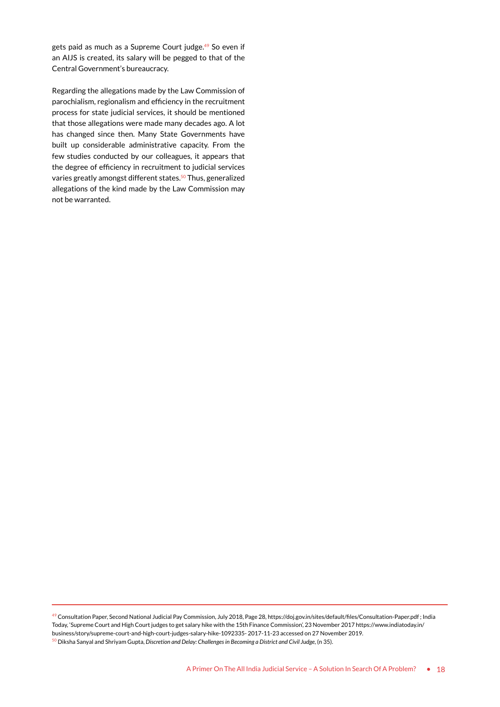gets paid as much as a Supreme Court judge.<sup>49</sup> So even if an AIJS is created, its salary will be pegged to that of the Central Government's bureaucracy.

Regarding the allegations made by the Law Commission of parochialism, regionalism and efficiency in the recruitment process for state judicial services, it should be mentioned that those allegations were made many decades ago. A lot has changed since then. Many State Governments have built up considerable administrative capacity. From the few studies conducted by our colleagues, it appears that the degree of efficiency in recruitment to judicial services varies greatly amongst different states.<sup>50</sup> Thus, generalized allegations of the kind made by the Law Commission may not be warranted.

<sup>49</sup> Consultation Paper, Second National Judicial Pay Commission, July 2018, Page 28, https://doj.gov.in/sites/default/files/Consultation-Paper.pdf ; India Today, 'Supreme Court and High Court judges to get salary hike with the 15th Finance Commission', 23 November 2017 https://www.indiatoday.in/ business/story/supreme-court-and-high-court-judges-salary-hike-1092335- 2017-11-23 accessed on 27 November 2019. 50 Diksha Sanyal and Shriyam Gupta, *Discretion and Delay: Challenges in Becoming a District and Civil Judge*, (n 35).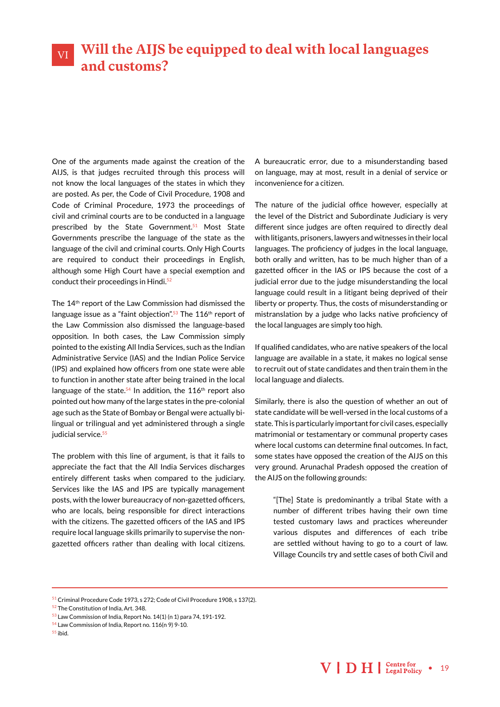## <span id="page-24-0"></span>**Will the AIJS be equipped to deal with local languages**  VI **and customs?**

One of the arguments made against the creation of the AIJS, is that judges recruited through this process will not know the local languages of the states in which they are posted. As per, the Code of Civil Procedure, 1908 and Code of Criminal Procedure, 1973 the proceedings of civil and criminal courts are to be conducted in a language prescribed by the State Government.<sup>51</sup> Most State Governments prescribe the language of the state as the language of the civil and criminal courts. Only High Courts are required to conduct their proceedings in English, although some High Court have a special exemption and conduct their proceedings in Hindi.<sup>52</sup>

The 14<sup>th</sup> report of the Law Commission had dismissed the language issue as a "faint objection". $^{53}$  The 116th report of the Law Commission also dismissed the language-based opposition. In both cases, the Law Commission simply pointed to the existing All India Services, such as the Indian Administrative Service (IAS) and the Indian Police Service (IPS) and explained how officers from one state were able to function in another state after being trained in the local language of the state. $54$  In addition, the 116<sup>th</sup> report also pointed out how many of the large states in the pre-colonial age such as the State of Bombay or Bengal were actually bilingual or trilingual and yet administered through a single judicial service.<sup>55</sup>

The problem with this line of argument, is that it fails to appreciate the fact that the All India Services discharges entirely different tasks when compared to the judiciary. Services like the IAS and IPS are typically management posts, with the lower bureaucracy of non-gazetted officers, who are locals, being responsible for direct interactions with the citizens. The gazetted officers of the IAS and IPS require local language skills primarily to supervise the nongazetted officers rather than dealing with local citizens. A bureaucratic error, due to a misunderstanding based on language, may at most, result in a denial of service or inconvenience for a citizen.

The nature of the judicial office however, especially at the level of the District and Subordinate Judiciary is very different since judges are often required to directly deal with litigants, prisoners, lawyers and witnesses in their local languages. The proficiency of judges in the local language, both orally and written, has to be much higher than of a gazetted officer in the IAS or IPS because the cost of a judicial error due to the judge misunderstanding the local language could result in a litigant being deprived of their liberty or property. Thus, the costs of misunderstanding or mistranslation by a judge who lacks native proficiency of the local languages are simply too high.

If qualified candidates, who are native speakers of the local language are available in a state, it makes no logical sense to recruit out of state candidates and then train them in the local language and dialects.

Similarly, there is also the question of whether an out of state candidate will be well-versed in the local customs of a state. This is particularly important for civil cases, especially matrimonial or testamentary or communal property cases where local customs can determine final outcomes. In fact, some states have opposed the creation of the AIJS on this very ground. Arunachal Pradesh opposed the creation of the AIJS on the following grounds:

"[The] State is predominantly a tribal State with a number of different tribes having their own time tested customary laws and practices whereunder various disputes and differences of each tribe are settled without having to go to a court of law. Village Councils try and settle cases of both Civil and

<sup>51</sup> Criminal Procedure Code 1973, s 272; Code of Civil Procedure 1908, s 137(2).

<sup>52</sup> The Constitution of India, Art. 348.

<sup>53</sup> Law Commission of India, Report No. 14(1) (n 1) para 74, 191-192.

<sup>54</sup> Law Commission of India, Report no. 116(n 9) 9-10.

<sup>55</sup> ibid.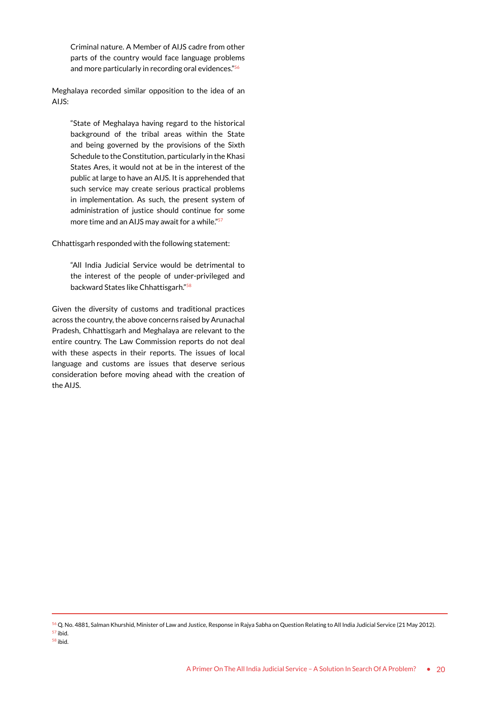Criminal nature. A Member of AIJS cadre from other parts of the country would face language problems and more particularly in recording oral evidences."<sup>56</sup>

Meghalaya recorded similar opposition to the idea of an AIJS:

"State of Meghalaya having regard to the historical background of the tribal areas within the State and being governed by the provisions of the Sixth Schedule to the Constitution, particularly in the Khasi States Ares, it would not at be in the interest of the public at large to have an AIJS. It is apprehended that such service may create serious practical problems in implementation. As such, the present system of administration of justice should continue for some more time and an AIJS may await for a while."<sup>57</sup>

Chhattisgarh responded with the following statement:

"All India Judicial Service would be detrimental to the interest of the people of under-privileged and backward States like Chhattisgarh."58

Given the diversity of customs and traditional practices across the country, the above concerns raised by Arunachal Pradesh, Chhattisgarh and Meghalaya are relevant to the entire country. The Law Commission reports do not deal with these aspects in their reports. The issues of local language and customs are issues that deserve serious consideration before moving ahead with the creation of the AIJS.

<sup>56</sup> Q. No. 4881, Salman Khurshid, Minister of Law and Justice, Response in Rajya Sabha on Question Relating to All India Judicial Service (21 May 2012). 57 ibid.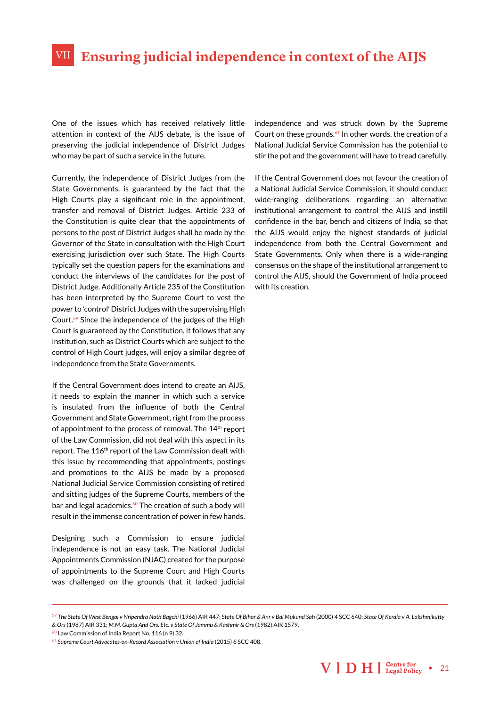## <span id="page-26-0"></span>VII **Ensuring judicial independence in context of the AIJS**

One of the issues which has received relatively little attention in context of the AIJS debate, is the issue of preserving the judicial independence of District Judges who may be part of such a service in the future.

Currently, the independence of District Judges from the State Governments, is guaranteed by the fact that the High Courts play a significant role in the appointment, transfer and removal of District Judges. Article 233 of the Constitution is quite clear that the appointments of persons to the post of District Judges shall be made by the Governor of the State in consultation with the High Court exercising jurisdiction over such State. The High Courts typically set the question papers for the examinations and conduct the interviews of the candidates for the post of District Judge. Additionally Article 235 of the Constitution has been interpreted by the Supreme Court to vest the power to 'control' District Judges with the supervising High Court.59 Since the independence of the judges of the High Court is guaranteed by the Constitution, it follows that any institution, such as District Courts which are subject to the control of High Court judges, will enjoy a similar degree of independence from the State Governments.

If the Central Government does intend to create an AIJS, it needs to explain the manner in which such a service is insulated from the influence of both the Central Government and State Government, right from the process of appointment to the process of removal. The 14<sup>th</sup> report of the Law Commission, did not deal with this aspect in its report. The 116<sup>th</sup> report of the Law Commission dealt with this issue by recommending that appointments, postings and promotions to the AIJS be made by a proposed National Judicial Service Commission consisting of retired and sitting judges of the Supreme Courts, members of the bar and legal academics.<sup>60</sup> The creation of such a body will result in the immense concentration of power in few hands.

Designing such a Commission to ensure judicial independence is not an easy task. The National Judicial Appointments Commission (NJAC) created for the purpose of appointments to the Supreme Court and High Courts was challenged on the grounds that it lacked judicial

independence and was struck down by the Supreme Court on these grounds. $61$  In other words, the creation of a National Judicial Service Commission has the potential to stir the pot and the government will have to tread carefully.

If the Central Government does not favour the creation of a National Judicial Service Commission, it should conduct wide-ranging deliberations regarding an alternative institutional arrangement to control the AIJS and instill confidence in the bar, bench and citizens of India, so that the AIJS would enjoy the highest standards of judicial independence from both the Central Government and State Governments. Only when there is a wide-ranging consensus on the shape of the institutional arrangement to control the AIJS, should the Government of India proceed with its creation.

<sup>59</sup> *The State Of West Bengal v Nripendra Nath Bagchi* (1966) AIR 447; *State Of Bihar & Anr v Bal Mukund Sah* (2000) 4 SCC 640; *State Of Kerala v A. Lakshmikutty & Ors* (1987) AIR 331; *M.M. Gupta And Ors. Etc. v State Of Jammu & Kashmir & Ors* (1982) AIR 1579.

<sup>60</sup> Law Commission of India Report No. 116 (n 9) 32.

<sup>61</sup> *Supreme Court Advocates-on-Record Association v Union of India* (2015) 6 SCC 408.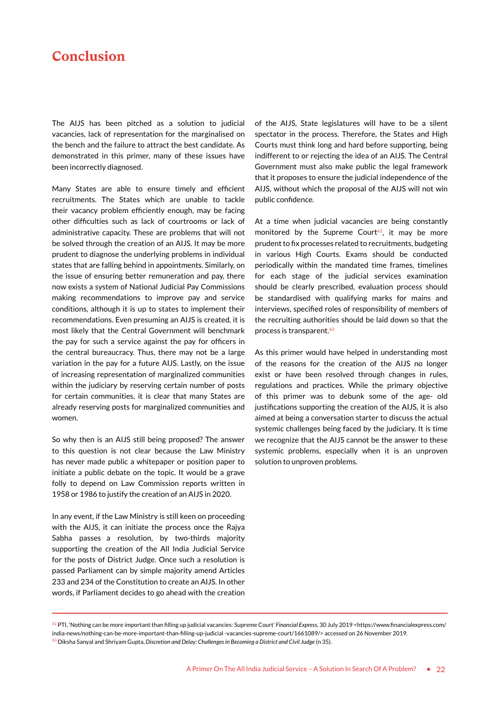## <span id="page-27-0"></span>**Conclusion**

The AIJS has been pitched as a solution to judicial vacancies, lack of representation for the marginalised on the bench and the failure to attract the best candidate. As demonstrated in this primer, many of these issues have been incorrectly diagnosed.

Many States are able to ensure timely and efficient recruitments. The States which are unable to tackle their vacancy problem efficiently enough, may be facing other difficulties such as lack of courtrooms or lack of administrative capacity. These are problems that will not be solved through the creation of an AIJS. It may be more prudent to diagnose the underlying problems in individual states that are falling behind in appointments. Similarly, on the issue of ensuring better remuneration and pay, there now exists a system of National Judicial Pay Commissions making recommendations to improve pay and service conditions, although it is up to states to implement their recommendations. Even presuming an AIJS is created, it is most likely that the Central Government will benchmark the pay for such a service against the pay for officers in the central bureaucracy. Thus, there may not be a large variation in the pay for a future AIJS. Lastly, on the issue of increasing representation of marginalized communities within the judiciary by reserving certain number of posts for certain communities, it is clear that many States are already reserving posts for marginalized communities and women.

So why then is an AIJS still being proposed? The answer to this question is not clear because the Law Ministry has never made public a whitepaper or position paper to initiate a public debate on the topic. It would be a grave folly to depend on Law Commission reports written in 1958 or 1986 to justify the creation of an AIJS in 2020.

In any event, if the Law Ministry is still keen on proceeding with the AIJS, it can initiate the process once the Rajya Sabha passes a resolution, by two-thirds majority supporting the creation of the All India Judicial Service for the posts of District Judge. Once such a resolution is passed Parliament can by simple majority amend Articles 233 and 234 of the Constitution to create an AIJS. In other words, if Parliament decides to go ahead with the creation of the AIJS, State legislatures will have to be a silent spectator in the process. Therefore, the States and High Courts must think long and hard before supporting, being indifferent to or rejecting the idea of an AIJS. The Central Government must also make public the legal framework that it proposes to ensure the judicial independence of the AIJS, without which the proposal of the AIJS will not win public confidence.

At a time when judicial vacancies are being constantly monitored by the Supreme Court<sup>62</sup>, it may be more prudent to fix processes related to recruitments, budgeting in various High Courts. Exams should be conducted periodically within the mandated time frames, timelines for each stage of the judicial services examination should be clearly prescribed, evaluation process should be standardised with qualifying marks for mains and interviews, specified roles of responsibility of members of the recruiting authorities should be laid down so that the process is transparent.<sup>63</sup>

As this primer would have helped in understanding most of the reasons for the creation of the AIJS no longer exist or have been resolved through changes in rules, regulations and practices. While the primary objective of this primer was to debunk some of the age- old justifications supporting the creation of the AIJS, it is also aimed at being a conversation starter to discuss the actual systemic challenges being faced by the judiciary. It is time we recognize that the AIJS cannot be the answer to these systemic problems, especially when it is an unproven solution to unproven problems.

<sup>62</sup> PTI, 'Nothing can be more important than filling up judicial vacancies: Supreme Court' *Financial Express,* 30 July 2019 <https://www.financialexpress.com/ india-news/nothing-can-be-more-important-than-filling-up-judicial -vacancies-supreme-court/1661089/> accessed on 26 November 2019. 63 Diksha Sanyal and Shriyam Gupta, *Discretion and Delay: Challenges in Becoming a District and Civil Judge* (n 35).